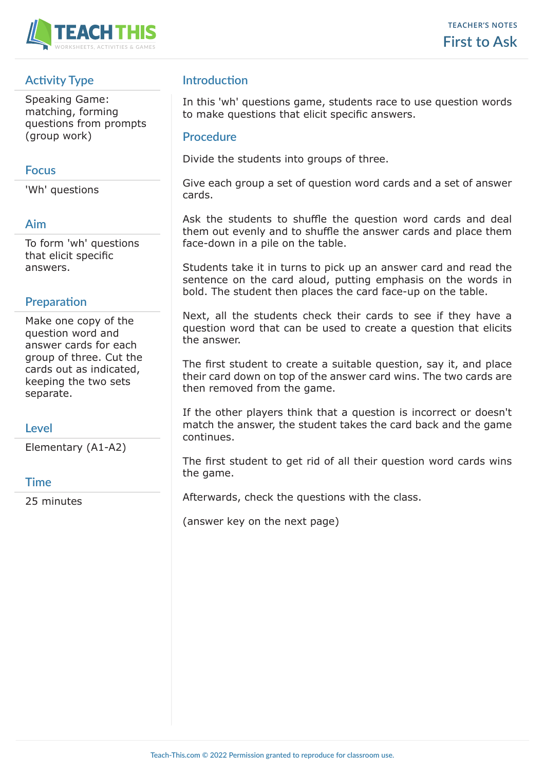

# **Activity Type**

Speaking Game: matching, forming questions from prompts (group work)

#### **Focus**

'Wh' questions

#### **Aim**

To form 'wh' questions that elicit specific answers.

#### **Preparation**

Make one copy of the question word and answer cards for each group of three. Cut the cards out as indicated, keeping the two sets separate.

#### **Level**

Elementary (A1-A2)

#### **Time**

25 minutes

## **Introduction**

In this 'wh' questions game, students race to use question words to make questions that elicit specific answers.

#### **Procedure**

Divide the students into groups of three.

Give each group a set of question word cards and a set of answer cards.

Ask the students to shuffle the question word cards and deal them out evenly and to shuffle the answer cards and place them face-down in a pile on the table.

Students take it in turns to pick up an answer card and read the sentence on the card aloud, putting emphasis on the words in bold. The student then places the card face-up on the table.

Next, all the students check their cards to see if they have a question word that can be used to create a question that elicits the answer.

The first student to create a suitable question, say it, and place their card down on top of the answer card wins. The two cards are then removed from the game.

If the other players think that a question is incorrect or doesn't match the answer, the student takes the card back and the game continues.

The first student to get rid of all their question word cards wins the game.

Afterwards, check the questions with the class.

(answer key on the next page)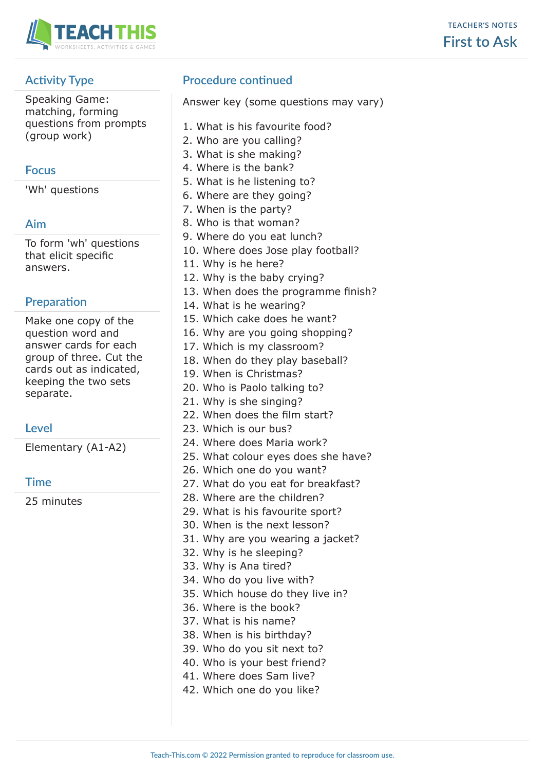

# **Activity Type**

Speaking Game: matching, forming questions from prompts (group work)

### **Focus**

'Wh' questions

# **Aim**

To form 'wh' questions that elicit specific answers.

## **Preparation**

Make one copy of the question word and answer cards for each group of three. Cut the cards out as indicated, keeping the two sets separate.

# **Level**

Elementary (A1-A2)

#### **Time**

25 minutes

# **Procedure continued**

Answer key (some questions may vary)

- 1. What is his favourite food?
- 2. Who are you calling?
- 3. What is she making?
- 4. Where is the bank?
- 5. What is he listening to?
- 6. Where are they going?
- 7. When is the party?
- 8. Who is that woman?
- 9. Where do you eat lunch?
- 10. Where does Jose play football?
- 11. Why is he here?
- 12. Why is the baby crying?
- 13. When does the programme finish?
- 14. What is he wearing?
- 15. Which cake does he want?
- 16. Why are you going shopping?
- 17. Which is my classroom?
- 18. When do they play baseball?
- 19. When is Christmas?
- 20. Who is Paolo talking to?
- 21. Why is she singing?
- 22. When does the film start?
	- 23. Which is our bus?
	- 24. Where does Maria work?
	- 25. What colour eyes does she have?
	- 26. Which one do you want?
	- 27. What do you eat for breakfast?
	- 28. Where are the children?
	- 29. What is his favourite sport?
	- 30. When is the next lesson?
	- 31. Why are you wearing a jacket?
	- 32. Why is he sleeping?
	- 33. Why is Ana tired?
	- 34. Who do you live with?
	- 35. Which house do they live in?
	- 36. Where is the book?
	- 37. What is his name?
	- 38. When is his birthday?
	- 39. Who do you sit next to?
	- 40. Who is your best friend?
	- 41. Where does Sam live?
	- 42. Which one do you like?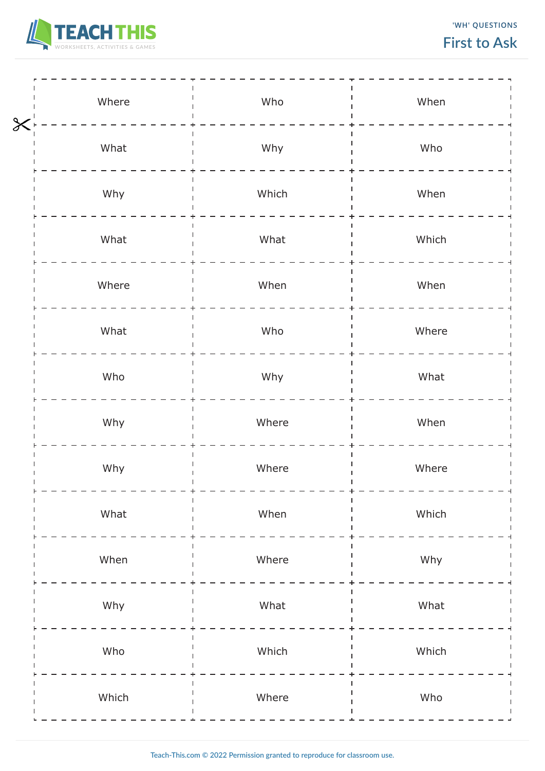

**'WH' QUESTIONS**

# **First to Ask**

| $\chi$ | Where | Who   | When  |
|--------|-------|-------|-------|
|        | What  | Why   | Who   |
|        | Why   | Which | When  |
|        | What  | What  | Which |
|        | Where | When  | When  |
|        | What  | Who   | Where |
|        | Who   | Why   | What  |
|        | Why   | Where | When  |
|        | Why   | Where | Where |
|        | What  | When  | Which |
|        | When  | Where | Why   |
|        | Why   | What  | What  |
|        | Who   | Which | Which |
|        | Which | Where | Who   |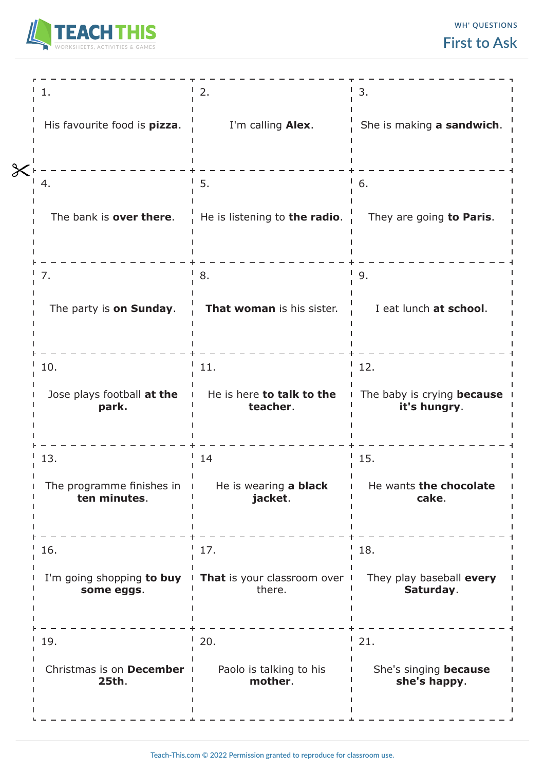

|                                           | 2.                                                                  | 3.                                         |
|-------------------------------------------|---------------------------------------------------------------------|--------------------------------------------|
| His favourite food is pizza.              | I'm calling Alex.                                                   | She is making a sandwich.                  |
|                                           |                                                                     |                                            |
| 4.                                        | 5.                                                                  | 6.                                         |
| The bank is over there.                   | He is listening to the radio.                                       | They are going to Paris.                   |
|                                           |                                                                     |                                            |
| 7.                                        | 8.                                                                  | 9.                                         |
| The party is on Sunday.                   | That woman is his sister.                                           | I eat lunch at school.                     |
|                                           |                                                                     |                                            |
| 10.                                       | 11.                                                                 | 12.                                        |
| Jose plays football at the<br>park.       | He is here to talk to the<br>teacher.                               | The baby is crying because<br>it's hungry. |
| 13.                                       | 14                                                                  | 15.                                        |
| The programme finishes in<br>ten minutes. | He is wearing a black<br>jacket.                                    | He wants the chocolate<br>cake.            |
| 16.                                       | 17.                                                                 | 18.                                        |
| some eggs.                                | I'm going shopping to buy   That is your classroom over  <br>there. | They play baseball every<br>Saturday.      |
| 19.                                       | 20.                                                                 | 21.                                        |
| Christmas is on December<br>25th.         | Paolo is talking to his<br>mother.                                  | She's singing because<br>she's happy.      |
|                                           |                                                                     |                                            |